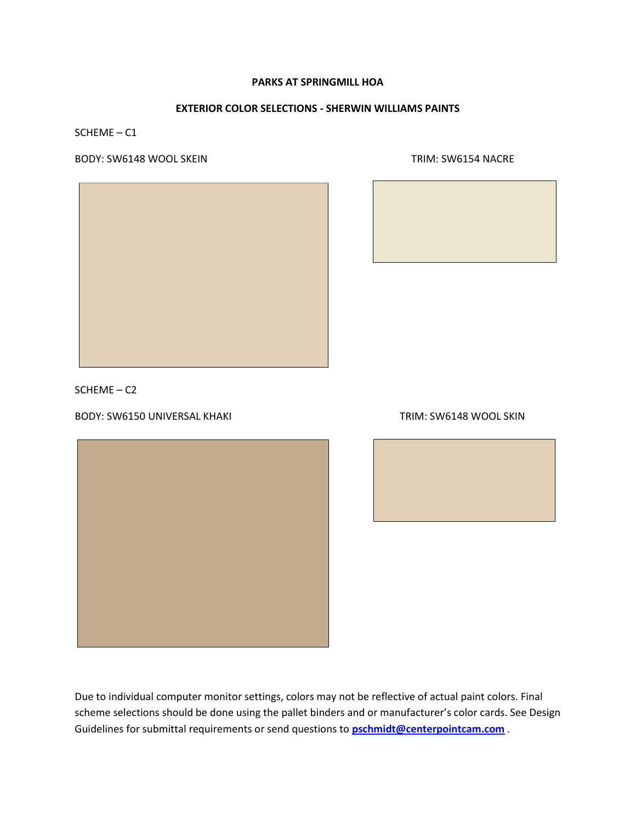## **EXTERIOR COLOR SELECTIONS - SHERWIN WILLIAMS PAINTS**

SCHEME – C1

BODY: SW6148 WOOL SKEIN TRIM: SW6154 NACRE



SCHEME – C2

BODY: SW6150 UNIVERSAL KHAKI TRIM: SW6148 WOOL SKIN



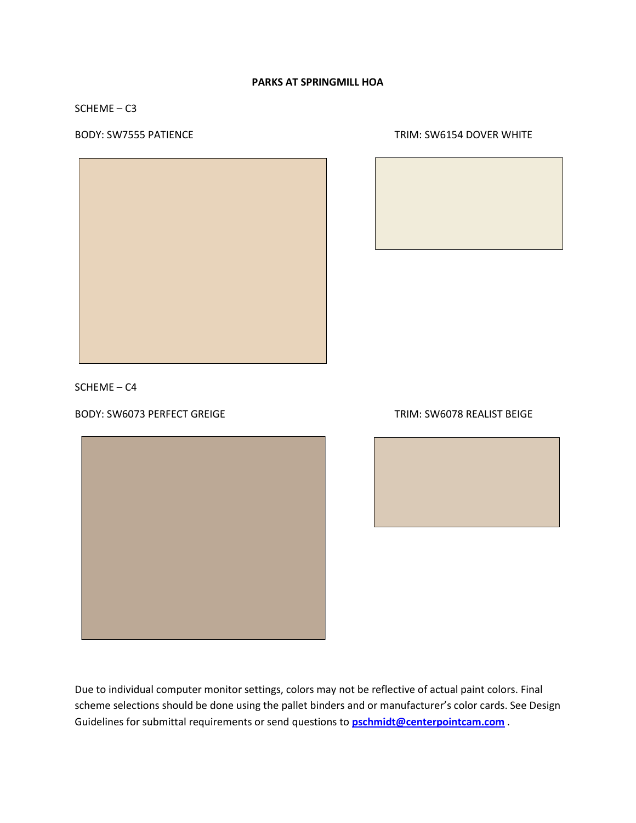SCHEME – C3







SCHEME – C4

BODY: SW6073 PERFECT GREIGE TRIM: SW6078 REALIST BEIGE



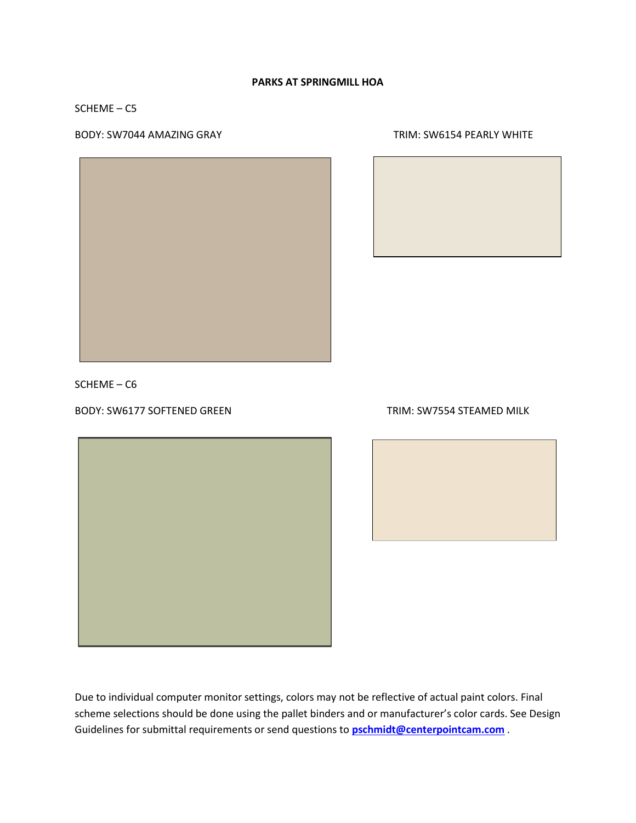### SCHEME – C5

#### BODY: SW7044 AMAZING GRAY TRIM: SW6154 PEARLY WHITE





SCHEME – C6

# BODY: SW6177 SOFTENED GREEN TRIM: SW7554 STEAMED MILK

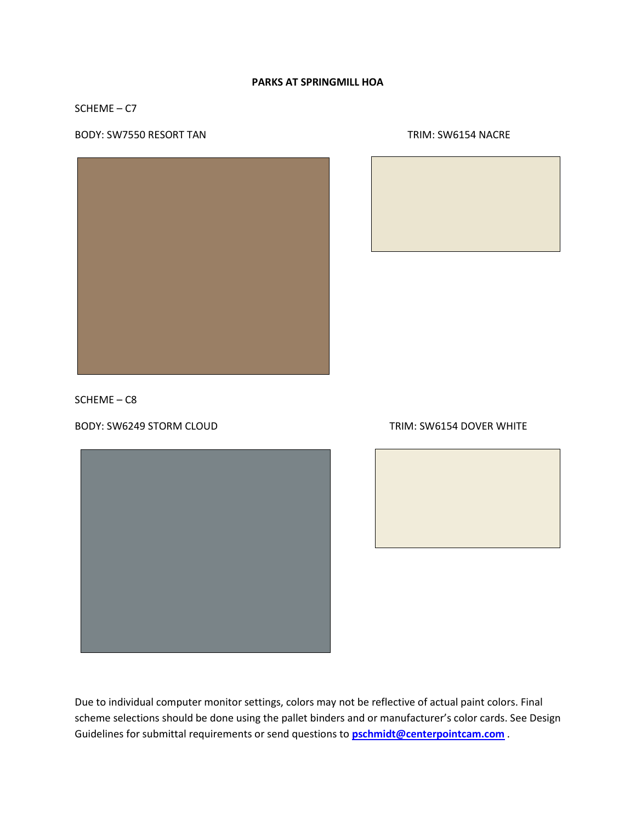## SCHEME – C7

### BODY: SW7550 RESORT TAN TRIM: SW6154 NACRE





SCHEME – C8

BODY: SW6249 STORM CLOUD TRIM: SW6154 DOVER WHITE



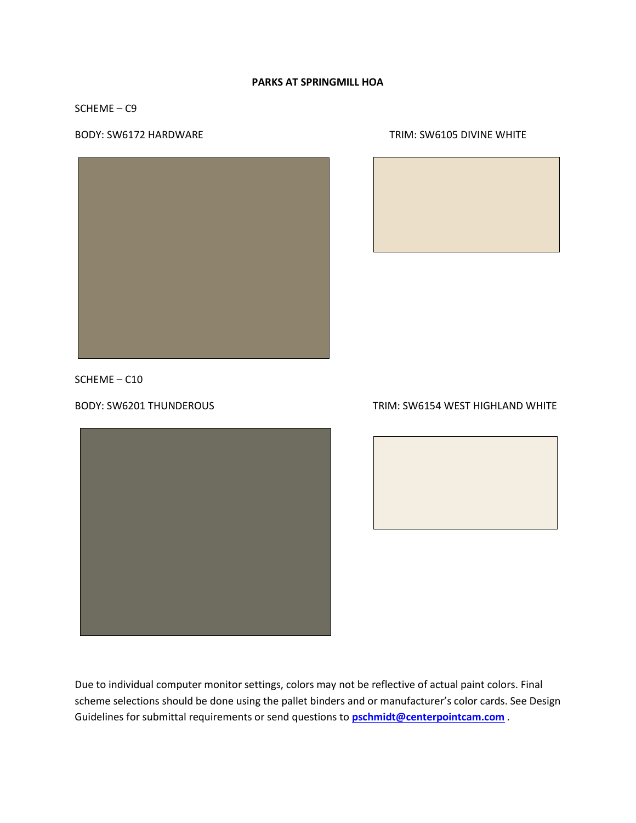# SCHEME – C9

BODY: SW6172 HARDWARE TRIM: SW6105 DIVINE WHITE





SCHEME – C10



# BODY: SW6201 THUNDEROUS TRIM: SW6154 WEST HIGHLAND WHITE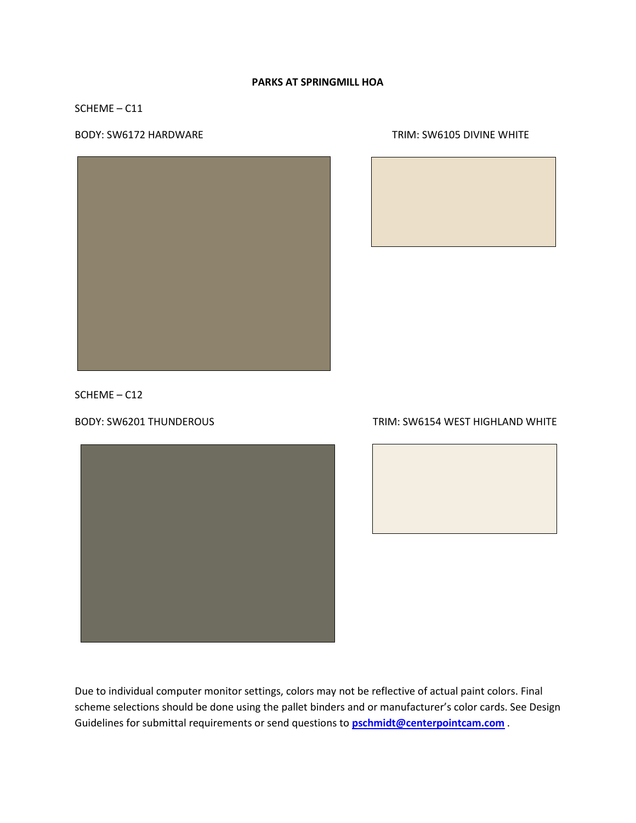## SCHEME – C11

# BODY: SW6172 HARDWARE TRIM: SW6105 DIVINE WHITE





SCHEME – C12



## BODY: SW6201 THUNDEROUS TRIM: SW6154 WEST HIGHLAND WHITE

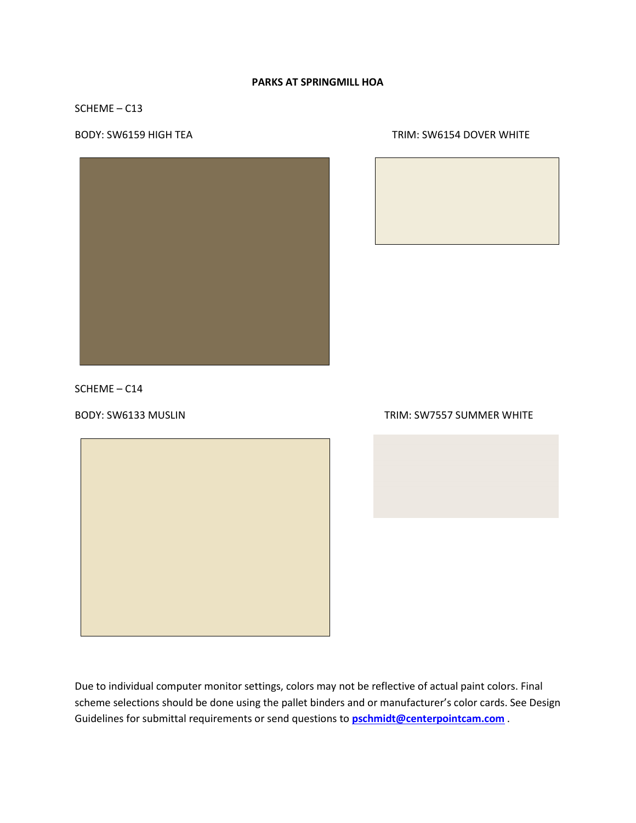## SCHEME – C13



#### BODY: SW6159 HIGH TEA TRIM: SW6154 DOVER WHITE



SCHEME – C14



### BODY: SW6133 MUSLIN TRIM: SW7557 SUMMER WHITE

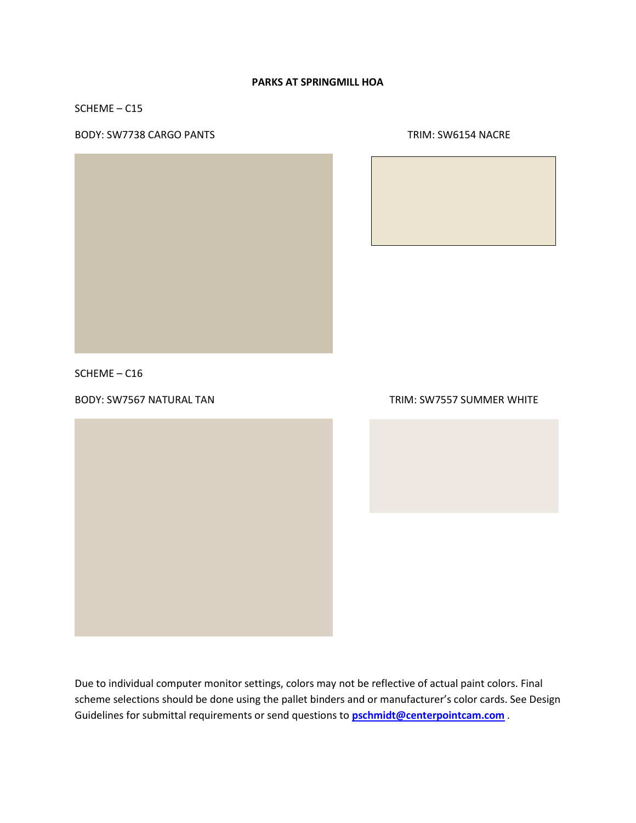SCHEME – C15

## BODY: SW7738 CARGO PANTS TRIM: SW6154 NACRE





SCHEME – C16



## BODY: SW7567 NATURAL TAN TRIM: SW7557 SUMMER WHITE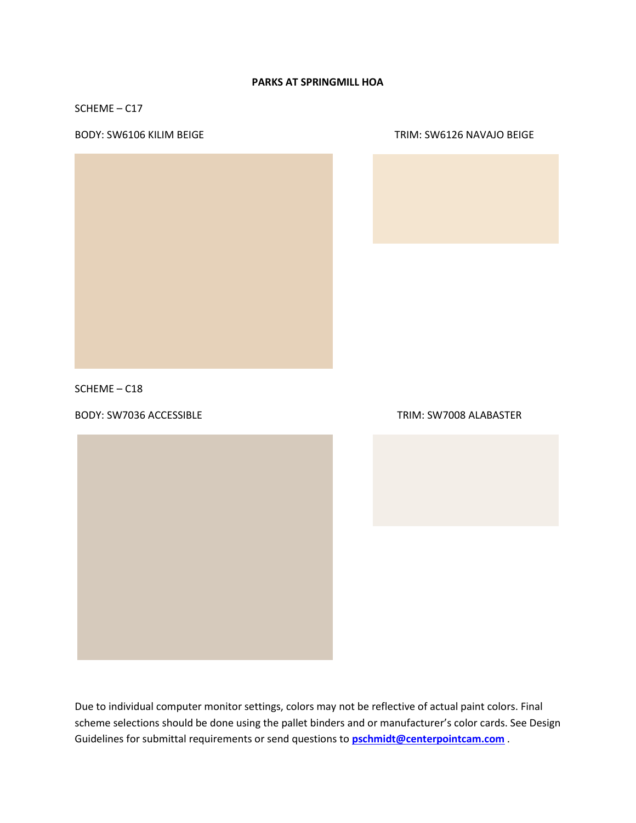SCHEME – C17

#### BODY: SW6106 KILIM BEIGE TRIM: SW6126 NAVAJO BEIGE





SCHEME – C18

BODY: SW7036 ACCESSIBLE TRIM: SW7008 ALABASTER

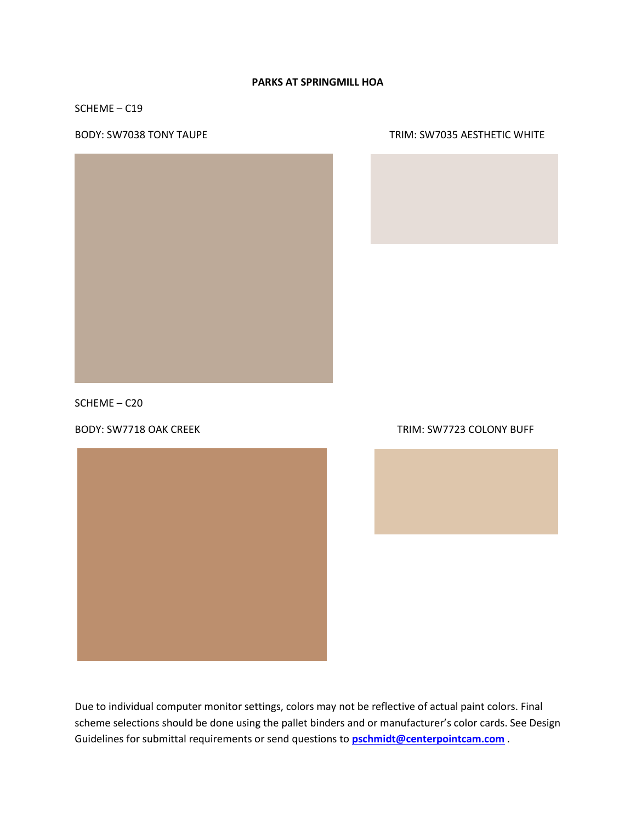SCHEME – C19

#### BODY: SW7038 TONY TAUPE TRIM: SW7035 AESTHETIC WHITE



SCHEME – C20





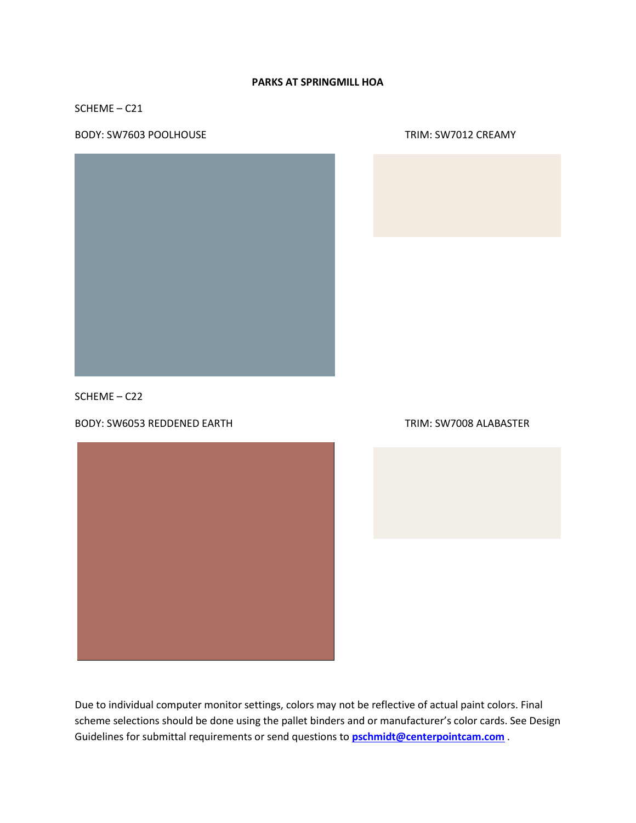SCHEME – C21

BODY: SW7603 POOLHOUSE TRIM: SW7012 CREAMY





SCHEME – C22

BODY: SW6053 REDDENED EARTH TRIM: SW7008 ALABASTER